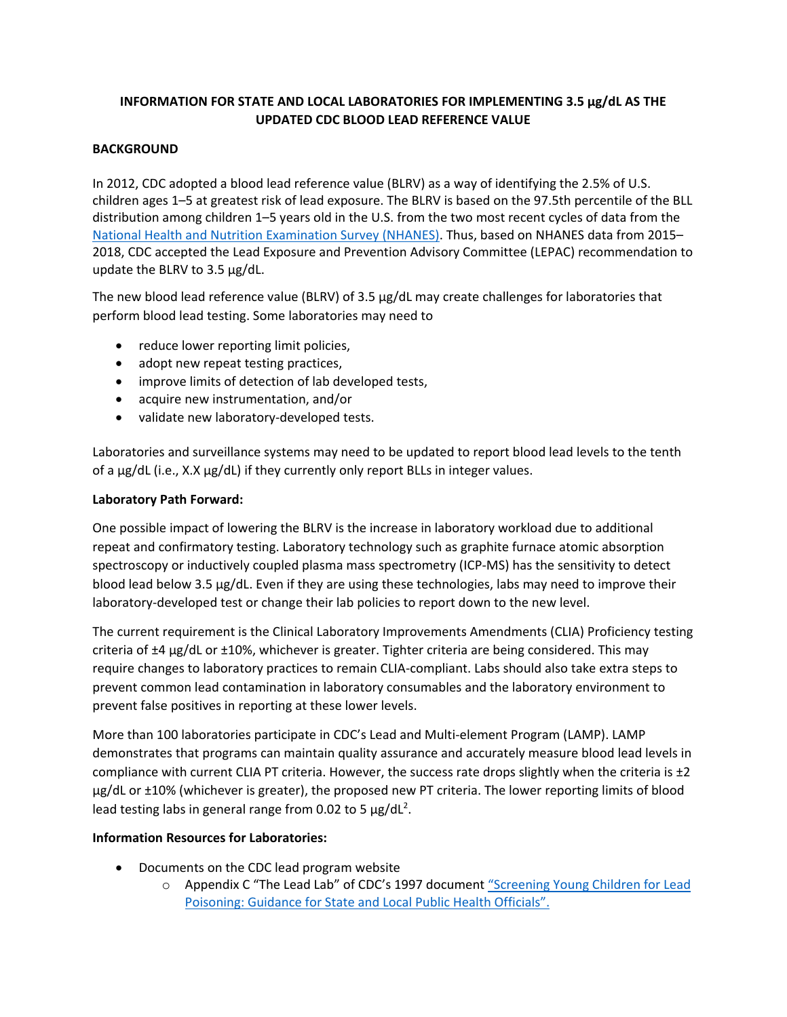# **INFORMATION FOR STATE AND LOCAL LABORATORIES FOR IMPLEMENTING 3.5 μg/dL AS THE UPDATED CDC BLOOD LEAD REFERENCE VALUE**

## **BACKGROUND**

In 2012, CDC adopted a blood lead reference value (BLRV) as a way of identifying the 2.5% of U.S. children ages 1–5 at greatest risk of lead exposure. The BLRV is based on the 97.5th percentile of the BLL distribution among children 1–5 years old in the U.S. from the two most recent cycles of data from the [National Health and Nutrition Examination Survey \(NHANES\).](https://www.cdc.gov/nchs/nhanes/index.htm) Thus, based on NHANES data from 2015– 2018, CDC accepted the Lead Exposure and Prevention Advisory Committee (LEPAC) recommendation to update the BLRV to 3.5 μg/dL.

The new blood lead reference value (BLRV) of 3.5 μg/dL may create challenges for laboratories that perform blood lead testing. Some laboratories may need to

- reduce lower reporting limit policies,
- adopt new repeat testing practices,
- improve limits of detection of lab developed tests,
- acquire new instrumentation, and/or
- validate new laboratory-developed tests.

Laboratories and surveillance systems may need to be updated to report blood lead levels to the tenth of a µg/dL (i.e., X.X µg/dL) if they currently only report BLLs in integer values.

### **Laboratory Path Forward:**

One possible impact of lowering the BLRV is the increase in laboratory workload due to additional repeat and confirmatory testing. Laboratory technology such as graphite furnace atomic absorption spectroscopy or inductively coupled plasma mass spectrometry (ICP-MS) has the sensitivity to detect blood lead below 3.5 µg/dL. Even if they are using these technologies, labs may need to improve their laboratory-developed test or change their lab policies to report down to the new level.

The current requirement is the Clinical Laboratory Improvements Amendments (CLIA) Proficiency testing criteria of ±4 µg/dL or ±10%, whichever is greater. Tighter criteria are being considered. This may require changes to laboratory practices to remain CLIA-compliant. Labs should also take extra steps to prevent common lead contamination in laboratory consumables and the laboratory environment to prevent false positives in reporting at these lower levels.

More than 100 laboratories participate in CDC's Lead and Multi-element Program (LAMP). LAMP demonstrates that programs can maintain quality assurance and accurately measure blood lead levels in compliance with current CLIA PT criteria. However, the success rate drops slightly when the criteria is ±2 µg/dL or ±10% (whichever is greater), the proposed new PT criteria. The lower reporting limits of blood lead testing labs in general range from 0.02 to 5  $\mu$ g/dL<sup>2</sup>.

### **Information Resources for Laboratories:**

- Documents on the CDC lead program website
	- o Appendix C "The Lead Lab" of CDC's 1997 document ["Screening Young Children for Lead](https://www.cdc.gov/nceh/lead/docs/cdc_13364_1997.pdf) [Poisoning: Guidance for State and Local Public Health Officials".](https://www.cdc.gov/nceh/lead/docs/cdc_13364_1997.pdf)